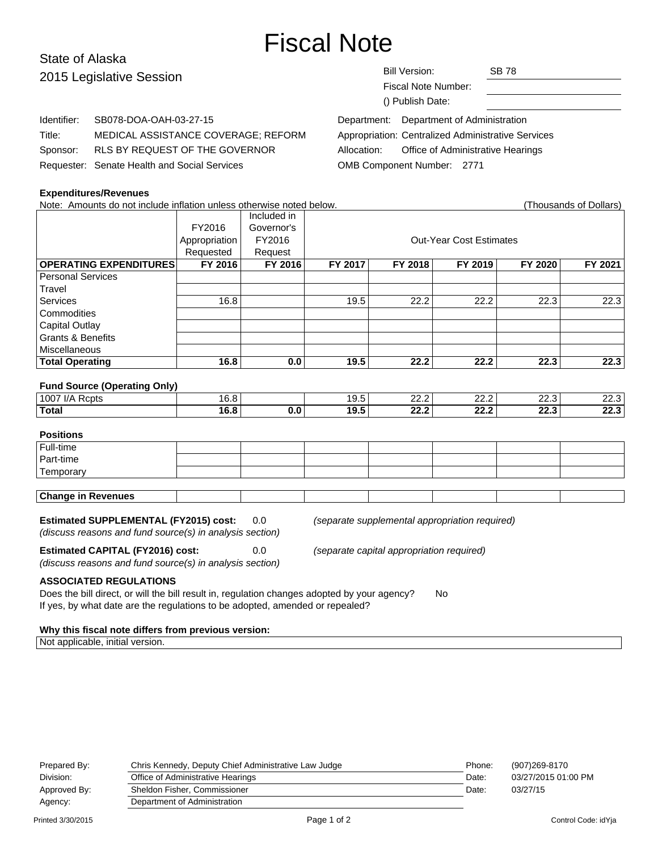# Fiscal Note

### State of Alaska 2015 Legislative Session

## Bill Version: SB 78

Fiscal Note Number: () Publish Date:

Identifier: SB078-DOA-OAH-03-27-15 Title: MEDICAL ASSISTANCE COVERAGE; REFORM Sponsor: RLS BY REQUEST OF THE GOVERNOR Requester: Senate Health and Social Services

| Appropriation: Centralized Administrative Services |
|----------------------------------------------------|
|                                                    |
|                                                    |
|                                                    |

#### **Expenditures/Revenues**

Note: Amounts do not include inflation unless otherwise noted below. (Thousands of Dollars) Included in FY2016 Governor's Appropriation FY2016 | CONSIDENTIFY CONSIDENT CONTRACTS CONTRACTS Requested | Request **OPERATING EXPENDITURES FY 2016 FY 2016 FY 2017 FY 2018 FY 2019 FY 2020 FY 2021** Personal Services **Travel** Services | 16.8 | | 19.5 | 22.2 | 22.3 | 22.3 | 22.3 **Commodities** Capital Outlay Grants & Benefits **Miscellaneous Total Operating 16.8 0.0 19.5 22.2 22.2 22.3 22.3 Fund Source (Operating Only)** 1007 I/A Rcpts 19.5 | 16.8 | 16.8 | 19.5 | 22.2 | 22.3 | 22.3 | 22.3 **Total 16.8 0.0 19.5 22.2 22.2 22.3 22.3 Positions** Full-time Part-time **Temporary Change in Revenues Estimated SUPPLEMENTAL (FY2015) cost:** 0.0 (separate supplemental appropriation required) (discuss reasons and fund source(s) in analysis section) **Estimated CAPITAL (FY2016) cost:** 0.0 (separate capital appropriation required) (discuss reasons and fund source(s) in analysis section)

#### **ASSOCIATED REGULATIONS**

Does the bill direct, or will the bill result in, regulation changes adopted by your agency? No If yes, by what date are the regulations to be adopted, amended or repealed?

#### **Why this fiscal note differs from previous version:**

Not applicable, initial version.

| (907)269-8170       |
|---------------------|
| 03/27/2015 01:00 PM |
| 03/27/15            |
|                     |
|                     |